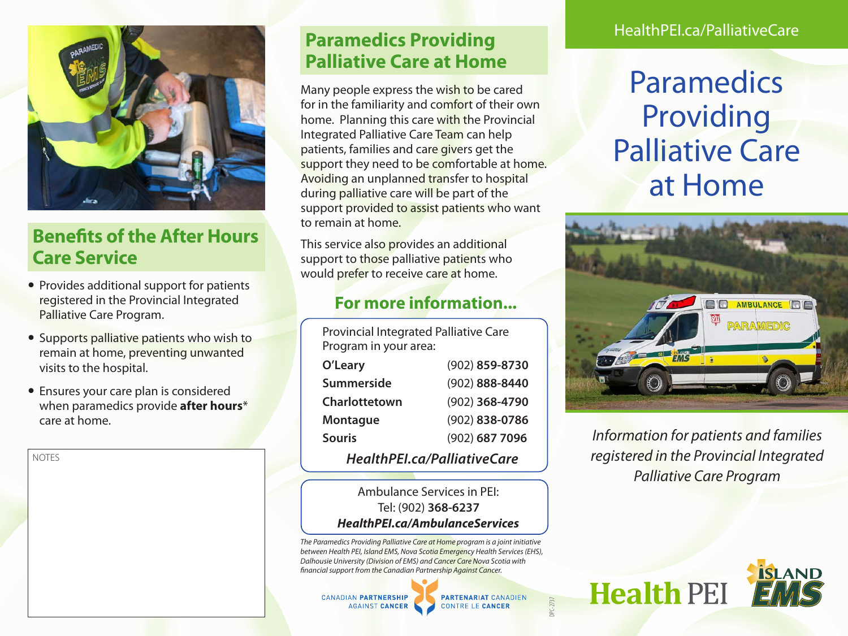

# **Benefits of the After Hours Care Service**

- Provides additional support for patients registered in the Provincial Integrated Palliative Care Program.
- Supports palliative patients who wish to remain at home, preventing unwanted visits to the hospital.
- Ensures your care plan is considered when paramedics provide **after hours**\* care at home.

**NOTES** 

# **Paramedics Providing Palliative Care at Home**

Many people express the wish to be cared for in the familiarity and comfort of their own home. Planning this care with the Provincial Integrated Palliative Care Team can help patients, families and care givers get the support they need to be comfortable at home. Avoiding an unplanned transfer to hospital during palliative care will be part of the support provided to assist patients who want to remain at home.

This service also provides an additional support to those palliative patients who would prefer to receive care at home.

### **For more information...**

Provincial Integrated Palliative Care Program in your area:

| HealthPEI.ca/PalliativeCare |                |
|-----------------------------|----------------|
| <b>Souris</b>               | (902) 687 7096 |
| <b>Montague</b>             | (902) 838-0786 |
| Charlottetown               | (902) 368-4790 |
| <b>Summerside</b>           | (902) 888-8440 |
| O'Leary                     | (902) 859-8730 |

#### Ambulance Services in PEI: Tel: (902) **368-6237**  *HealthPEI.ca/AmbulanceServices*

*The Paramedics Providing Palliative Care at Home program is a joint initiative between Health PEI, Island EMS, Nova Scotia Emergency Health Services (EHS), Dalhousie University (Division of EMS) and Cancer Care Nova Scotia with financial support from the Canadian Partnership Against Cancer.*



**PARTENARIAT CANADIEN** 

**CONTRE LE CANCER** 

DPC-2737

#### HealthPEI.ca/PalliativeCare

# Paramedics Providing Palliative Care at Home



*Information for patients and families registered in the Provincial Integrated Palliative Care Program*

**Health PEI**